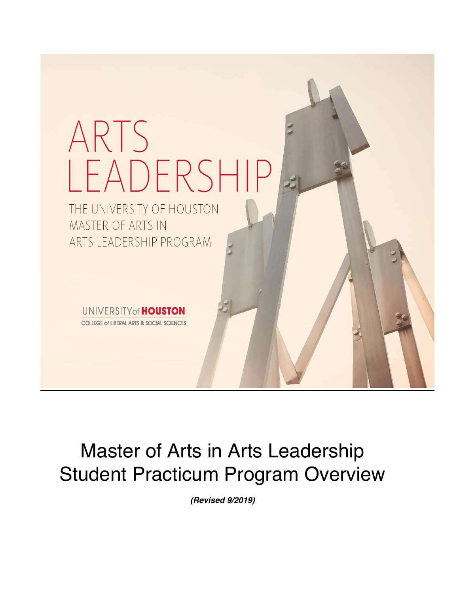

# Master of Arts in Arts Leadership Student Practicum Program Overview

*(Revised 9/2019)*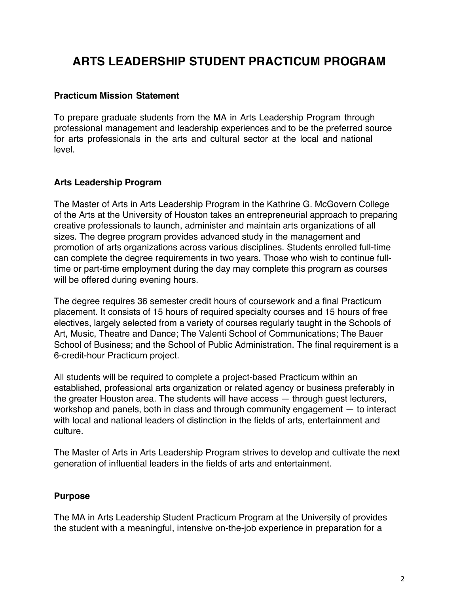# **ARTS LEADERSHIP STUDENT PRACTICUM PROGRAM**

## **Practicum Mission Statement**

To prepare graduate students from the MA in Arts Leadership Program through professional management and leadership experiences and to be the preferred source for arts professionals in the arts and cultural sector at the local and national level.

# **Arts Leadership Program**

The Master of Arts in Arts Leadership Program in the Kathrine G. McGovern College of the Arts at the University of Houston takes an entrepreneurial approach to preparing creative professionals to launch, administer and maintain arts organizations of all sizes. The degree program provides advanced study in the management and promotion of arts organizations across various disciplines. Students enrolled full-time can complete the degree requirements in two years. Those who wish to continue fulltime or part-time employment during the day may complete this program as courses will be offered during evening hours.

The degree requires 36 semester credit hours of coursework and a final Practicum placement. It consists of 15 hours of required specialty courses and 15 hours of free electives, largely selected from a variety of courses regularly taught in the Schools of Art, Music, Theatre and Dance; The Valenti School of Communications; The Bauer School of Business; and the School of Public Administration. The final requirement is a 6-credit-hour Practicum project.

All students will be required to complete a project-based Practicum within an established, professional arts organization or related agency or business preferably in the greater Houston area. The students will have access — through guest lecturers, workshop and panels, both in class and through community engagement — to interact with local and national leaders of distinction in the fields of arts, entertainment and culture.

The Master of Arts in Arts Leadership Program strives to develop and cultivate the next generation of influential leaders in the fields of arts and entertainment.

# **Purpose**

The MA in Arts Leadership Student Practicum Program at the University of provides the student with a meaningful, intensive on-the-job experience in preparation for a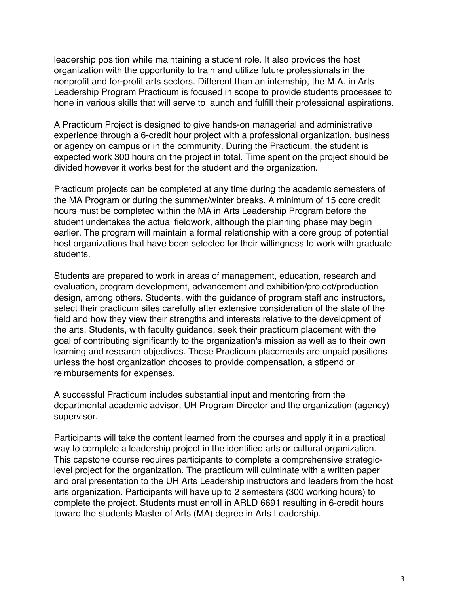leadership position while maintaining a student role. It also provides the host organization with the opportunity to train and utilize future professionals in the nonprofit and for-profit arts sectors. Different than an internship, the M.A. in Arts Leadership Program Practicum is focused in scope to provide students processes to hone in various skills that will serve to launch and fulfill their professional aspirations.

A Practicum Project is designed to give hands-on managerial and administrative experience through a 6-credit hour project with a professional organization, business or agency on campus or in the community. During the Practicum, the student is expected work 300 hours on the project in total. Time spent on the project should be divided however it works best for the student and the organization.

Practicum projects can be completed at any time during the academic semesters of the MA Program or during the summer/winter breaks. A minimum of 15 core credit hours must be completed within the MA in Arts Leadership Program before the student undertakes the actual fieldwork, although the planning phase may begin earlier. The program will maintain a formal relationship with a core group of potential host organizations that have been selected for their willingness to work with graduate students.

Students are prepared to work in areas of management, education, research and evaluation, program development, advancement and exhibition/project/production design, among others. Students, with the guidance of program staff and instructors, select their practicum sites carefully after extensive consideration of the state of the field and how they view their strengths and interests relative to the development of the arts. Students, with faculty guidance, seek their practicum placement with the goal of contributing significantly to the organization's mission as well as to their own learning and research objectives. These Practicum placements are unpaid positions unless the host organization chooses to provide compensation, a stipend or reimbursements for expenses.

A successful Practicum includes substantial input and mentoring from the departmental academic advisor, UH Program Director and the organization (agency) supervisor.

Participants will take the content learned from the courses and apply it in a practical way to complete a leadership project in the identified arts or cultural organization. This capstone course requires participants to complete a comprehensive strategiclevel project for the organization. The practicum will culminate with a written paper and oral presentation to the UH Arts Leadership instructors and leaders from the host arts organization. Participants will have up to 2 semesters (300 working hours) to complete the project. Students must enroll in ARLD 6691 resulting in 6-credit hours toward the students Master of Arts (MA) degree in Arts Leadership.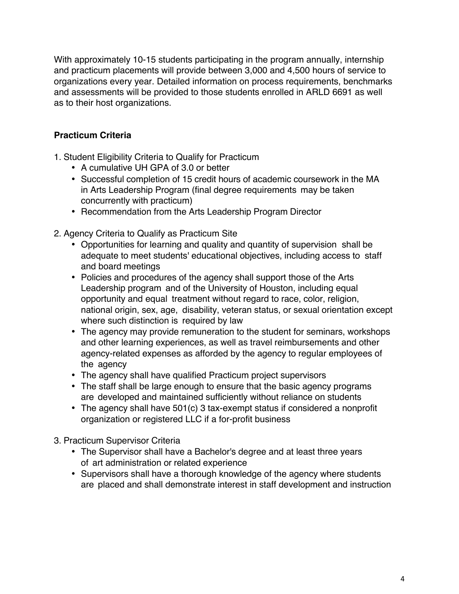With approximately 10-15 students participating in the program annually, internship and practicum placements will provide between 3,000 and 4,500 hours of service to organizations every year. Detailed information on process requirements, benchmarks and assessments will be provided to those students enrolled in ARLD 6691 as well as to their host organizations.

# **Practicum Criteria**

- 1. Student Eligibility Criteria to Qualify for Practicum
	- A cumulative UH GPA of 3.0 or better
	- Successful completion of 15 credit hours of academic coursework in the MA in Arts Leadership Program (final degree requirements may be taken concurrently with practicum)
	- Recommendation from the Arts Leadership Program Director
- 2. Agency Criteria to Qualify as Practicum Site
	- Opportunities for learning and quality and quantity of supervision shall be adequate to meet students' educational objectives, including access to staff and board meetings
	- Policies and procedures of the agency shall support those of the Arts Leadership program and of the University of Houston, including equal opportunity and equal treatment without regard to race, color, religion, national origin, sex, age, disability, veteran status, or sexual orientation except where such distinction is required by law
	- The agency may provide remuneration to the student for seminars, workshops and other learning experiences, as well as travel reimbursements and other agency-related expenses as afforded by the agency to regular employees of the agency
	- The agency shall have qualified Practicum project supervisors
	- The staff shall be large enough to ensure that the basic agency programs are developed and maintained sufficiently without reliance on students
	- The agency shall have 501(c) 3 tax-exempt status if considered a nonprofit organization or registered LLC if a for-profit business
- 3. Practicum Supervisor Criteria
	- The Supervisor shall have a Bachelor's degree and at least three years of art administration or related experience
	- Supervisors shall have a thorough knowledge of the agency where students are placed and shall demonstrate interest in staff development and instruction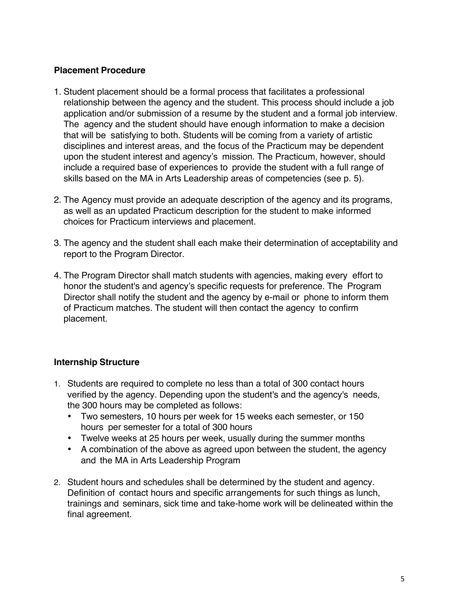# **Placement Procedure**

- 1. Student placement should be a formal process that facilitates a professional relationship between the agency and the student. This process should include a job application and/or submission of a resume by the student and a formal job interview. The agency and the student should have enough information to make a decision that will be satisfying to both. Students will be coming from a variety of artistic disciplines and interest areas, and the focus of the Practicum may be dependent upon the student interest and agency's mission. The Practicum, however, should include a required base of experiences to provide the student with a full range of skills based on the MA in Arts Leadership areas of competencies (see p. 5).
- 2. The Agency must provide an adequate description of the agency and its programs, as well as an updated Practicum description for the student to make informed choices for Practicum interviews and placement.
- 3. The agency and the student shall each make their determination of acceptability and report to the Program Director.
- 4. The Program Director shall match students with agencies, making every effort to honor the student's and agency's specific requests for preference. The Program Director shall notify the student and the agency by e-mail or phone to inform them of Practicum matches. The student will then contact the agency to confirm placement.

# **Internship Structure**

- 1. Students are required to complete no less than a total of 300 contact hours verified by the agency. Depending upon the student's and the agency's needs, the 300 hours may be completed as follows:
	- Two semesters, 10 hours per week for 15 weeks each semester, or 150 hours per semester for a total of 300 hours
	- Twelve weeks at 25 hours per week, usually during the summer months
	- A combination of the above as agreed upon between the student, the agency and the MA in Arts Leadership Program
- 2. Student hours and schedules shall be determined by the student and agency. Definition of contact hours and specific arrangements for such things as lunch, trainings and seminars, sick time and take-home work will be delineated within the final agreement.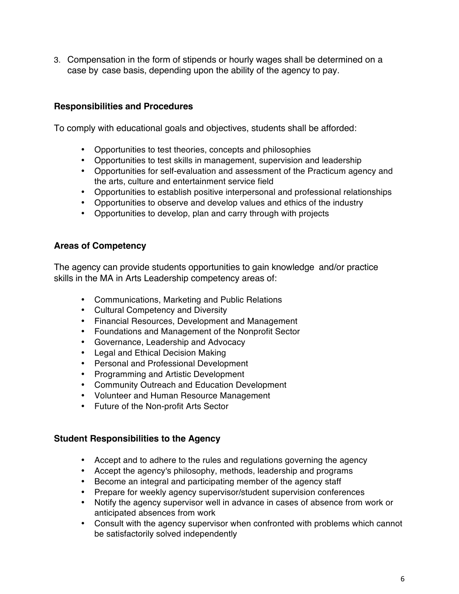3. Compensation in the form of stipends or hourly wages shall be determined on a case by case basis, depending upon the ability of the agency to pay.

# **Responsibilities and Procedures**

To comply with educational goals and objectives, students shall be afforded:

- Opportunities to test theories, concepts and philosophies
- Opportunities to test skills in management, supervision and leadership
- Opportunities for self-evaluation and assessment of the Practicum agency and the arts, culture and entertainment service field
- Opportunities to establish positive interpersonal and professional relationships
- Opportunities to observe and develop values and ethics of the industry
- Opportunities to develop, plan and carry through with projects

#### **Areas of Competency**

The agency can provide students opportunities to gain knowledge and/or practice skills in the MA in Arts Leadership competency areas of:

- Communications, Marketing and Public Relations
- Cultural Competency and Diversity
- Financial Resources, Development and Management
- Foundations and Management of the Nonprofit Sector
- Governance, Leadership and Advocacy
- Legal and Ethical Decision Making
- Personal and Professional Development
- Programming and Artistic Development
- Community Outreach and Education Development
- Volunteer and Human Resource Management
- Future of the Non-profit Arts Sector

#### **Student Responsibilities to the Agency**

- Accept and to adhere to the rules and regulations governing the agency
- Accept the agency's philosophy, methods, leadership and programs
- Become an integral and participating member of the agency staff
- Prepare for weekly agency supervisor/student supervision conferences
- Notify the agency supervisor well in advance in cases of absence from work or anticipated absences from work
- Consult with the agency supervisor when confronted with problems which cannot be satisfactorily solved independently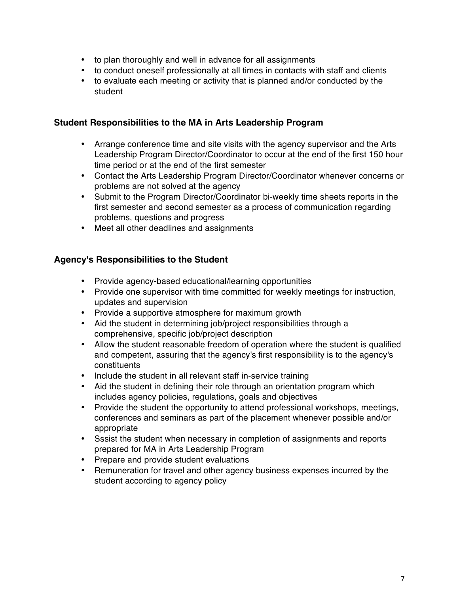- to plan thoroughly and well in advance for all assignments
- to conduct oneself professionally at all times in contacts with staff and clients
- to evaluate each meeting or activity that is planned and/or conducted by the student

#### **Student Responsibilities to the MA in Arts Leadership Program**

- Arrange conference time and site visits with the agency supervisor and the Arts Leadership Program Director/Coordinator to occur at the end of the first 150 hour time period or at the end of the first semester
- Contact the Arts Leadership Program Director/Coordinator whenever concerns or problems are not solved at the agency
- Submit to the Program Director/Coordinator bi-weekly time sheets reports in the first semester and second semester as a process of communication regarding problems, questions and progress
- Meet all other deadlines and assignments

#### **Agency's Responsibilities to the Student**

- Provide agency-based educational/learning opportunities
- Provide one supervisor with time committed for weekly meetings for instruction, updates and supervision
- Provide a supportive atmosphere for maximum growth
- Aid the student in determining job/project responsibilities through a comprehensive, specific job/project description
- Allow the student reasonable freedom of operation where the student is qualified and competent, assuring that the agency's first responsibility is to the agency's constituents
- Include the student in all relevant staff in-service training
- Aid the student in defining their role through an orientation program which includes agency policies, regulations, goals and objectives
- Provide the student the opportunity to attend professional workshops, meetings, conferences and seminars as part of the placement whenever possible and/or appropriate
- Sssist the student when necessary in completion of assignments and reports prepared for MA in Arts Leadership Program
- Prepare and provide student evaluations
- Remuneration for travel and other agency business expenses incurred by the student according to agency policy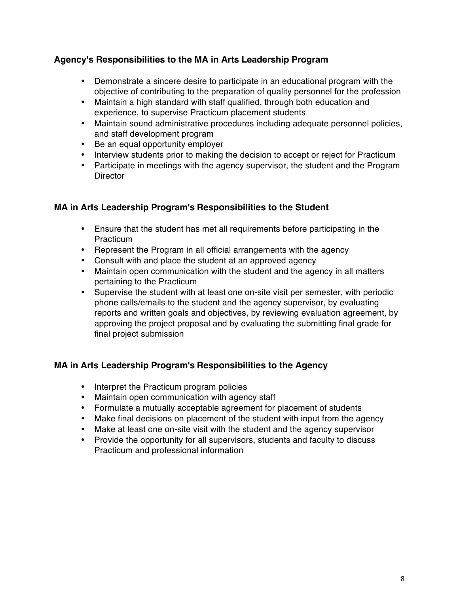# **Agency's Responsibilities to the MA in Arts Leadership Program**

- Demonstrate a sincere desire to participate in an educational program with the objective of contributing to the preparation of quality personnel for the profession
- Maintain a high standard with staff qualified, through both education and experience, to supervise Practicum placement students
- Maintain sound administrative procedures including adequate personnel policies, and staff development program
- Be an equal opportunity employer
- Interview students prior to making the decision to accept or reject for Practicum
- Participate in meetings with the agency supervisor, the student and the Program **Director**

# **MA in Arts Leadership Program's Responsibilities to the Student**

- Ensure that the student has met all requirements before participating in the Practicum
- Represent the Program in all official arrangements with the agency
- Consult with and place the student at an approved agency
- Maintain open communication with the student and the agency in all matters pertaining to the Practicum
- Supervise the student with at least one on-site visit per semester, with periodic phone calls/emails to the student and the agency supervisor, by evaluating reports and written goals and objectives, by reviewing evaluation agreement, by approving the project proposal and by evaluating the submitting final grade for final project submission

# **MA in Arts Leadership Program's Responsibilities to the Agency**

- Interpret the Practicum program policies
- Maintain open communication with agency staff
- Formulate a mutually acceptable agreement for placement of students
- Make final decisions on placement of the student with input from the agency
- Make at least one on-site visit with the student and the agency supervisor
- Provide the opportunity for all supervisors, students and faculty to discuss Practicum and professional information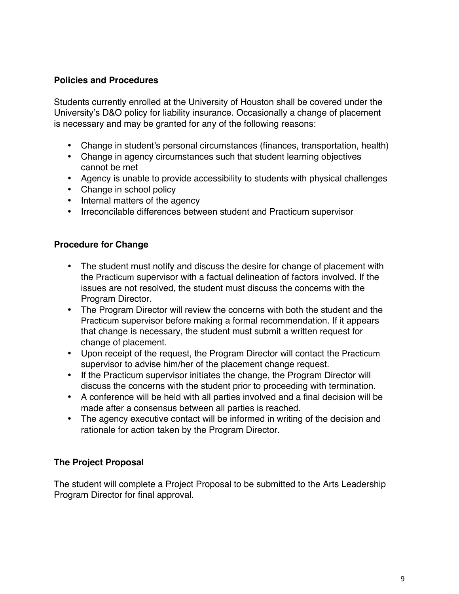# **Policies and Procedures**

Students currently enrolled at the University of Houston shall be covered under the University's D&O policy for liability insurance. Occasionally a change of placement is necessary and may be granted for any of the following reasons:

- Change in student's personal circumstances (finances, transportation, health)
- Change in agency circumstances such that student learning objectives cannot be met
- Agency is unable to provide accessibility to students with physical challenges
- Change in school policy
- Internal matters of the agency
- Irreconcilable differences between student and Practicum supervisor

## **Procedure for Change**

- The student must notify and discuss the desire for change of placement with the Practicum supervisor with a factual delineation of factors involved. If the issues are not resolved, the student must discuss the concerns with the Program Director.
- The Program Director will review the concerns with both the student and the Practicum supervisor before making a formal recommendation. If it appears that change is necessary, the student must submit a written request for change of placement.
- Upon receipt of the request, the Program Director will contact the Practicum supervisor to advise him/her of the placement change request.
- If the Practicum supervisor initiates the change, the Program Director will discuss the concerns with the student prior to proceeding with termination.
- A conference will be held with all parties involved and a final decision will be made after a consensus between all parties is reached.
- The agency executive contact will be informed in writing of the decision and rationale for action taken by the Program Director.

#### **The Project Proposal**

The student will complete a Project Proposal to be submitted to the Arts Leadership Program Director for final approval.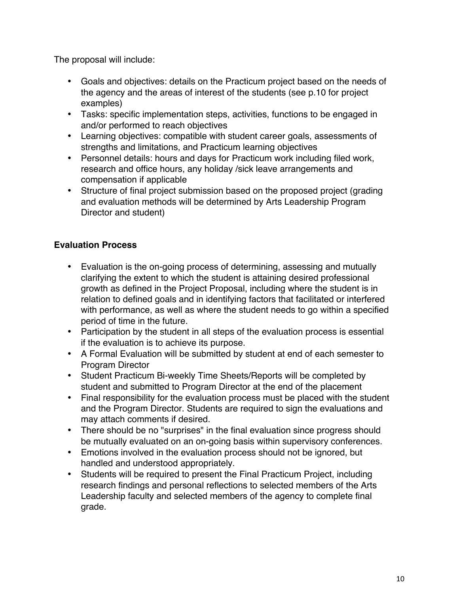The proposal will include:

- Goals and objectives: details on the Practicum project based on the needs of the agency and the areas of interest of the students (see p.10 for project examples)
- Tasks: specific implementation steps, activities, functions to be engaged in and/or performed to reach objectives
- Learning objectives: compatible with student career goals, assessments of strengths and limitations, and Practicum learning objectives
- Personnel details: hours and days for Practicum work including filed work, research and office hours, any holiday /sick leave arrangements and compensation if applicable
- Structure of final project submission based on the proposed project (grading and evaluation methods will be determined by Arts Leadership Program Director and student)

# **Evaluation Process**

- Evaluation is the on-going process of determining, assessing and mutually clarifying the extent to which the student is attaining desired professional growth as defined in the Project Proposal, including where the student is in relation to defined goals and in identifying factors that facilitated or interfered with performance, as well as where the student needs to go within a specified period of time in the future.
- Participation by the student in all steps of the evaluation process is essential if the evaluation is to achieve its purpose.
- A Formal Evaluation will be submitted by student at end of each semester to Program Director
- Student Practicum Bi-weekly Time Sheets/Reports will be completed by student and submitted to Program Director at the end of the placement
- Final responsibility for the evaluation process must be placed with the student and the Program Director. Students are required to sign the evaluations and may attach comments if desired.
- There should be no "surprises" in the final evaluation since progress should be mutually evaluated on an on-going basis within supervisory conferences.
- Emotions involved in the evaluation process should not be ignored, but handled and understood appropriately.
- Students will be required to present the Final Practicum Project, including research findings and personal reflections to selected members of the Arts Leadership faculty and selected members of the agency to complete final grade.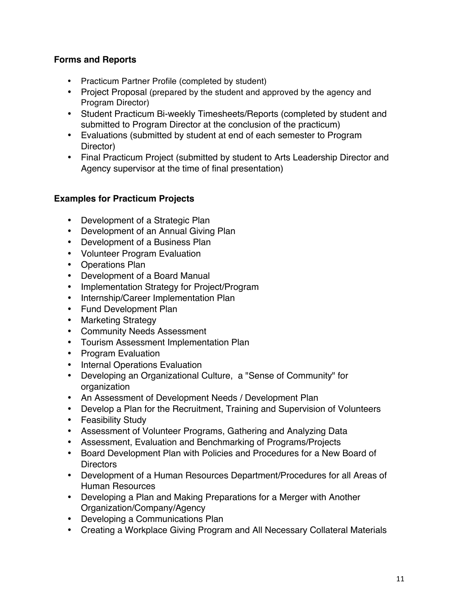# **Forms and Reports**

- Practicum Partner Profile (completed by student)
- Project Proposal (prepared by the student and approved by the agency and Program Director)
- Student Practicum Bi-weekly Timesheets/Reports (completed by student and submitted to Program Director at the conclusion of the practicum)
- Evaluations (submitted by student at end of each semester to Program Director)
- Final Practicum Project (submitted by student to Arts Leadership Director and Agency supervisor at the time of final presentation)

# **Examples for Practicum Projects**

- Development of a Strategic Plan
- Development of an Annual Giving Plan
- Development of a Business Plan
- Volunteer Program Evaluation
- Operations Plan
- Development of a Board Manual
- Implementation Strategy for Project/Program
- Internship/Career Implementation Plan
- Fund Development Plan
- Marketing Strategy
- Community Needs Assessment
- Tourism Assessment Implementation Plan
- Program Evaluation
- Internal Operations Evaluation
- Developing an Organizational Culture, a "Sense of Community" for organization
- An Assessment of Development Needs / Development Plan
- Develop a Plan for the Recruitment, Training and Supervision of Volunteers
- Feasibility Study
- Assessment of Volunteer Programs, Gathering and Analyzing Data
- Assessment, Evaluation and Benchmarking of Programs/Projects
- Board Development Plan with Policies and Procedures for a New Board of **Directors**
- Development of a Human Resources Department/Procedures for all Areas of Human Resources
- Developing a Plan and Making Preparations for a Merger with Another Organization/Company/Agency
- Developing a Communications Plan
- Creating a Workplace Giving Program and All Necessary Collateral Materials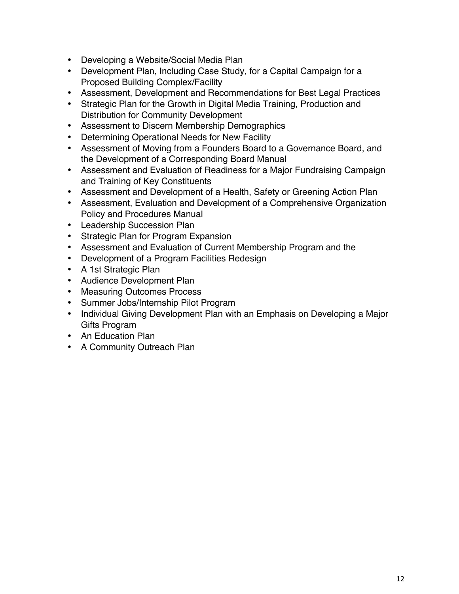- Developing a Website/Social Media Plan
- Development Plan, Including Case Study, for a Capital Campaign for a Proposed Building Complex/Facility
- Assessment, Development and Recommendations for Best Legal Practices
- Strategic Plan for the Growth in Digital Media Training, Production and Distribution for Community Development
- Assessment to Discern Membership Demographics
- Determining Operational Needs for New Facility
- Assessment of Moving from a Founders Board to a Governance Board, and the Development of a Corresponding Board Manual
- Assessment and Evaluation of Readiness for a Major Fundraising Campaign and Training of Key Constituents
- Assessment and Development of a Health, Safety or Greening Action Plan
- Assessment, Evaluation and Development of a Comprehensive Organization Policy and Procedures Manual
- Leadership Succession Plan
- Strategic Plan for Program Expansion
- Assessment and Evaluation of Current Membership Program and the
- Development of a Program Facilities Redesign
- A 1st Strategic Plan
- Audience Development Plan
- Measuring Outcomes Process
- Summer Jobs/Internship Pilot Program
- Individual Giving Development Plan with an Emphasis on Developing a Major Gifts Program
- An Education Plan
- A Community Outreach Plan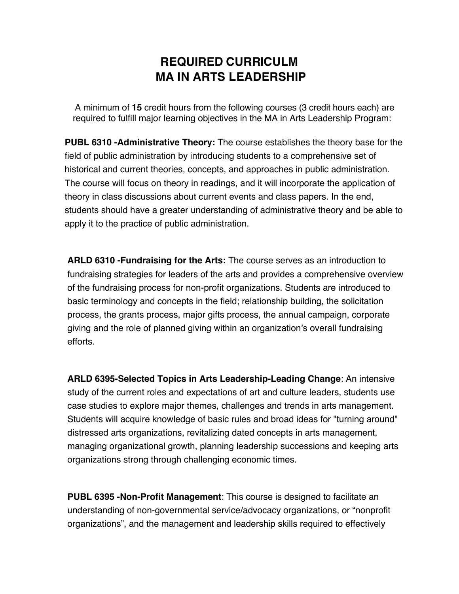# **REQUIRED CURRICULM MA IN ARTS LEADERSHIP**

A minimum of **15** credit hours from the following courses (3 credit hours each) are required to fulfill major learning objectives in the MA in Arts Leadership Program:

**PUBL 6310 -Administrative Theory:** The course establishes the theory base for the field of public administration by introducing students to a comprehensive set of historical and current theories, concepts, and approaches in public administration. The course will focus on theory in readings, and it will incorporate the application of theory in class discussions about current events and class papers. In the end, students should have a greater understanding of administrative theory and be able to apply it to the practice of public administration.

**ARLD 6310 -Fundraising for the Arts:** The course serves as an introduction to fundraising strategies for leaders of the arts and provides a comprehensive overview of the fundraising process for non-profit organizations. Students are introduced to basic terminology and concepts in the field; relationship building, the solicitation process, the grants process, major gifts process, the annual campaign, corporate giving and the role of planned giving within an organization's overall fundraising efforts.

**ARLD 6395-Selected Topics in Arts Leadership-Leading Change**: An intensive study of the current roles and expectations of art and culture leaders, students use case studies to explore major themes, challenges and trends in arts management. Students will acquire knowledge of basic rules and broad ideas for "turning around" distressed arts organizations, revitalizing dated concepts in arts management, managing organizational growth, planning leadership successions and keeping arts organizations strong through challenging economic times.

**PUBL 6395 -Non-Profit Management**: This course is designed to facilitate an understanding of non-governmental service/advocacy organizations, or "nonprofit organizations", and the management and leadership skills required to effectively